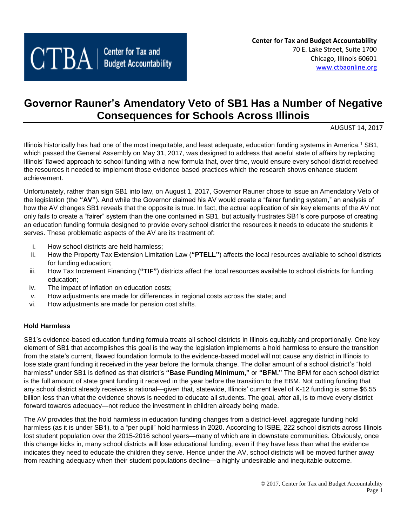# **Governor Rauner's Amendatory Veto of SB1 Has a Number of Negative Consequences for Schools Across Illinois**

AUGUST 14, 2017

Illinois historically has had one of the most inequitable, and least adequate, education funding systems in America.<sup>1</sup> SB1, which passed the General Assembly on May 31, 2017, was designed to address that woeful state of affairs by replacing Illinois' flawed approach to school funding with a new formula that, over time, would ensure every school district received the resources it needed to implement those evidence based practices which the research shows enhance student achievement.

Unfortunately, rather than sign SB1 into law, on August 1, 2017, Governor Rauner chose to issue an Amendatory Veto of the legislation (the **"AV"**). And while the Governor claimed his AV would create a "fairer funding system," an analysis of how the AV changes SB1 reveals that the opposite is true. In fact, the actual application of six key elements of the AV not only fails to create a "fairer" system than the one contained in SB1, but actually frustrates SB1's core purpose of creating an education funding formula designed to provide every school district the resources it needs to educate the students it serves. These problematic aspects of the AV are its treatment of:

- i. How school districts are held harmless;
- ii. How the Property Tax Extension Limitation Law (**"PTELL"**) affects the local resources available to school districts for funding education;
- iii. How Tax Increment Financing (**"TIF"**) districts affect the local resources available to school districts for funding education;
- iv. The impact of inflation on education costs;
- v. How adjustments are made for differences in regional costs across the state; and
- vi. How adjustments are made for pension cost shifts.

## **Hold Harmless**

SB1's evidence-based education funding formula treats all school districts in Illinois equitably and proportionally. One key element of SB1 that accomplishes this goal is the way the legislation implements a hold harmless to ensure the transition from the state's current, flawed foundation formula to the evidence-based model will not cause any district in Illinois to lose state grant funding it received in the year before the formula change. The dollar amount of a school district's "hold harmless" under SB1 is defined as that district's **"Base Funding Minimum,"** or **"BFM."** The BFM for each school district is the full amount of state grant funding it received in the year before the transition to the EBM. Not cutting funding that any school district already receives is rational—given that, statewide, Illinois' current level of K-12 funding is some \$6.55 billion less than what the evidence shows is needed to educate all students. The goal, after all, is to move every district forward towards adequacy—not reduce the investment in children already being made.

The AV provides that the hold harmless in education funding changes from a district-level, aggregate funding hold harmless (as it is under SB1), to a "per pupil" hold harmless in 2020. According to ISBE, 222 school districts across Illinois lost student population over the 2015-2016 school years—many of which are in downstate communities. Obviously, once this change kicks in, many school districts will lose educational funding, even if they have less than what the evidence indicates they need to educate the children they serve. Hence under the AV, school districts will be moved further away from reaching adequacy when their student populations decline—a highly undesirable and inequitable outcome.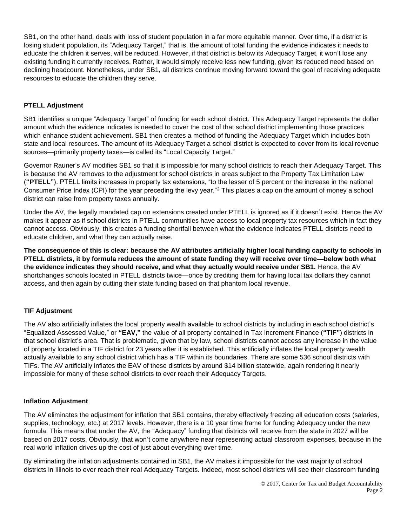SB1, on the other hand, deals with loss of student population in a far more equitable manner. Over time, if a district is losing student population, its "Adequacy Target," that is, the amount of total funding the evidence indicates it needs to educate the children it serves, will be reduced. However, if that district is below its Adequacy Target, it won't lose any existing funding it currently receives. Rather, it would simply receive less new funding, given its reduced need based on declining headcount. Nonetheless, under SB1, all districts continue moving forward toward the goal of receiving adequate resources to educate the children they serve.

# **PTELL Adjustment**

SB1 identifies a unique "Adequacy Target" of funding for each school district. This Adequacy Target represents the dollar amount which the evidence indicates is needed to cover the cost of that school district implementing those practices which enhance student achievement. SB1 then creates a method of funding the Adequacy Target which includes both state and local resources. The amount of its Adequacy Target a school district is expected to cover from its local revenue sources—primarily property taxes—is called its "Local Capacity Target."

Governor Rauner's AV modifies SB1 so that it is impossible for many school districts to reach their Adequacy Target. This is because the AV removes to the adjustment for school districts in areas subject to the Property Tax Limitation Law (**"PTELL"**). PTELL limits increases in property tax extensions, "to the lesser of 5 percent or the increase in the national Consumer Price Index (CPI) for the year preceding the levy year."<sup>2</sup> This places a cap on the amount of money a school district can raise from property taxes annually.

Under the AV, the legally mandated cap on extensions created under PTELL is ignored as if it doesn't exist. Hence the AV makes it appear as if school districts in PTELL communities have access to local property tax resources which in fact they cannot access. Obviously, this creates a funding shortfall between what the evidence indicates PTELL districts need to educate children, and what they can actually raise.

**The consequence of this is clear: because the AV attributes artificially higher local funding capacity to schools in PTELL districts, it by formula reduces the amount of state funding they will receive over time—below both what the evidence indicates they should receive, and what they actually would receive under SB1.** Hence, the AV shortchanges schools located in PTELL districts twice—once by crediting them for having local tax dollars they cannot access, and then again by cutting their state funding based on that phantom local revenue.

# **TIF Adjustment**

The AV also artificially inflates the local property wealth available to school districts by including in each school district's "Equalized Assessed Value," or **"EAV,"** the value of all property contained in Tax Increment Finance (**"TIF"**) districts in that school district's area. That is problematic, given that by law, school districts cannot access any increase in the value of property located in a TIF district for 23 years after it is established. This artificially inflates the local property wealth actually available to any school district which has a TIF within its boundaries. There are some 536 school districts with TIFs. The AV artificially inflates the EAV of these districts by around \$14 billion statewide, again rendering it nearly impossible for many of these school districts to ever reach their Adequacy Targets.

## **Inflation Adjustment**

The AV eliminates the adjustment for inflation that SB1 contains, thereby effectively freezing all education costs (salaries, supplies, technology, etc.) at 2017 levels. However, there is a 10 year time frame for funding Adequacy under the new formula. This means that under the AV, the "Adequacy" funding that districts will receive from the state in 2027 will be based on 2017 costs. Obviously, that won't come anywhere near representing actual classroom expenses, because in the real world inflation drives up the cost of just about everything over time.

By eliminating the inflation adjustments contained in SB1, the AV makes it impossible for the vast majority of school districts in Illinois to ever reach their real Adequacy Targets. Indeed, most school districts will see their classroom funding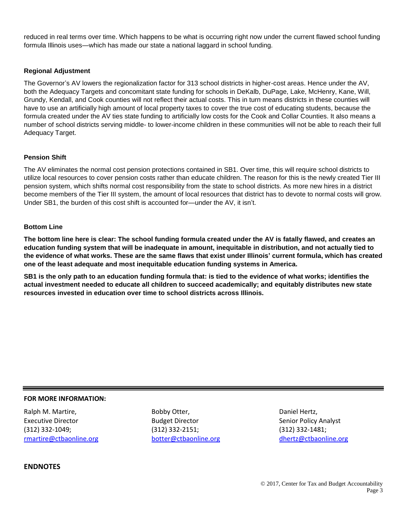reduced in real terms over time. Which happens to be what is occurring right now under the current flawed school funding formula Illinois uses—which has made our state a national laggard in school funding.

#### **Regional Adjustment**

The Governor's AV lowers the regionalization factor for 313 school districts in higher-cost areas. Hence under the AV, both the Adequacy Targets and concomitant state funding for schools in DeKalb, DuPage, Lake, McHenry, Kane, Will, Grundy, Kendall, and Cook counties will not reflect their actual costs. This in turn means districts in these counties will have to use an artificially high amount of local property taxes to cover the true cost of educating students, because the formula created under the AV ties state funding to artificially low costs for the Cook and Collar Counties. It also means a number of school districts serving middle- to lower-income children in these communities will not be able to reach their full Adequacy Target.

#### **Pension Shift**

The AV eliminates the normal cost pension protections contained in SB1. Over time, this will require school districts to utilize local resources to cover pension costs rather than educate children. The reason for this is the newly created Tier III pension system, which shifts normal cost responsibility from the state to school districts. As more new hires in a district become members of the Tier III system, the amount of local resources that district has to devote to normal costs will grow. Under SB1, the burden of this cost shift is accounted for—under the AV, it isn't.

#### **Bottom Line**

**The bottom line here is clear: The school funding formula created under the AV is fatally flawed, and creates an education funding system that will be inadequate in amount, inequitable in distribution, and not actually tied to the evidence of what works. These are the same flaws that exist under Illinois' current formula, which has created one of the least adequate and most inequitable education funding systems in America.**

**SB1 is the only path to an education funding formula that: is tied to the evidence of what works; identifies the actual investment needed to educate all children to succeed academically; and equitably distributes new state resources invested in education over time to school districts across Illinois.**

#### **FOR MORE INFORMATION:**

Ralph M. Martire, Executive Director (312) 332-1049; [rmartire@ctbaonline.org](mailto:rmartire@ctbaonline.org)

Bobby Otter, Budget Director (312) 332-2151; [botter@ctbaonline.org](mailto:botter@ctbaonline.org)

Daniel Hertz, Senior Policy Analyst (312) 332-1481; [dhertz@ctbaonline.org](mailto:dhertz@ctbaonline.org)

### **ENDNOTES**